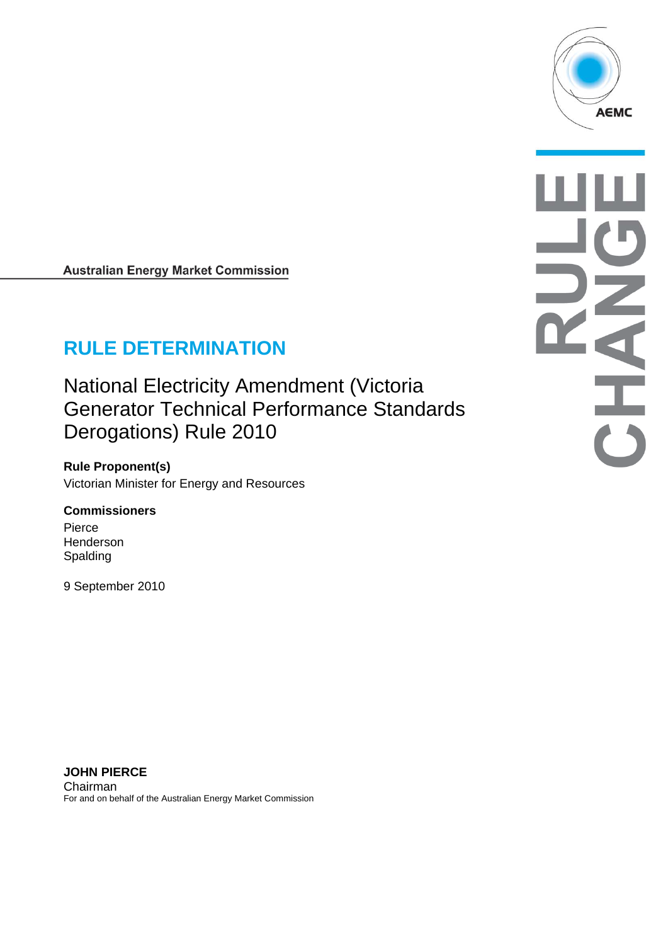

**Australian Energy Market Commission** 

# **RULE DETERMINATION**

National Electricity Amendment (Victoria Generator Technical Performance Standards Derogations) Rule 2010

**Rule Proponent(s)**  Victorian Minister for Energy and Resources

#### **Commissioners**

Pierce Henderson Spalding

9 September 2010

A

**JOHN PIERCE**  Chairman For and on behalf of the Australian Energy Market Commission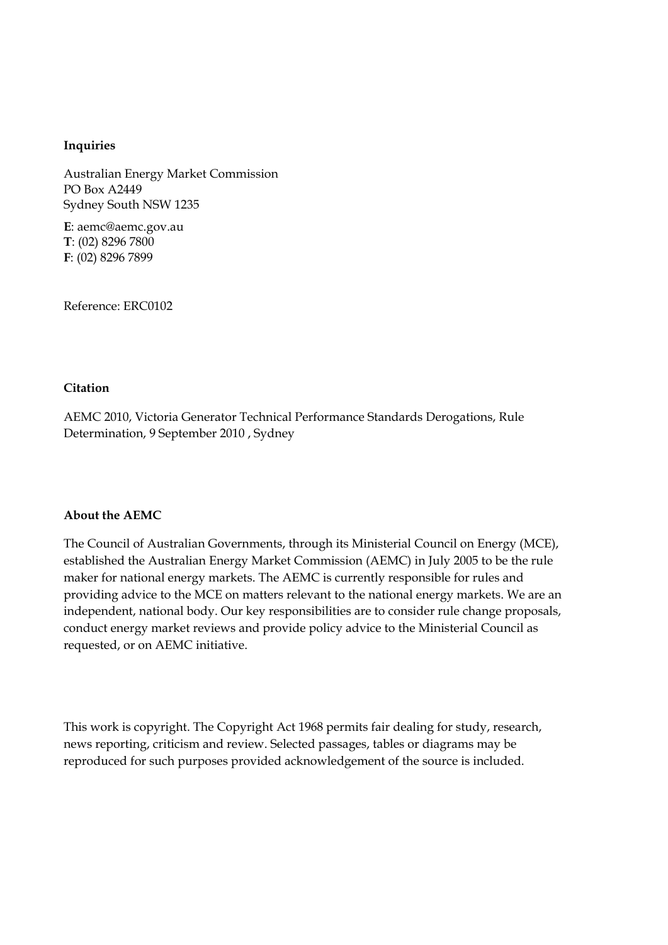#### **Inquiries**

Australian Energy Market Commission PO Box A2449 Sydney South NSW 1235

**E**: aemc@aemc.gov.au **T**: (02) 8296 7800 **F**: (02) 8296 7899

Reference: ERC0102

#### **Citation**

AEMC 2010, Victoria Generator Technical Performance Standards Derogations, Rule Determination, 9 September 2010 , Sydney

#### **About the AEMC**

The Council of Australian Governments, through its Ministerial Council on Energy (MCE), established the Australian Energy Market Commission (AEMC) in July 2005 to be the rule maker for national energy markets. The AEMC is currently responsible for rules and providing advice to the MCE on matters relevant to the national energy markets. We are an independent, national body. Our key responsibilities are to consider rule change proposals, conduct energy market reviews and provide policy advice to the Ministerial Council as requested, or on AEMC initiative.

This work is copyright. The Copyright Act 1968 permits fair dealing for study, research, news reporting, criticism and review. Selected passages, tables or diagrams may be reproduced for such purposes provided acknowledgement of the source is included.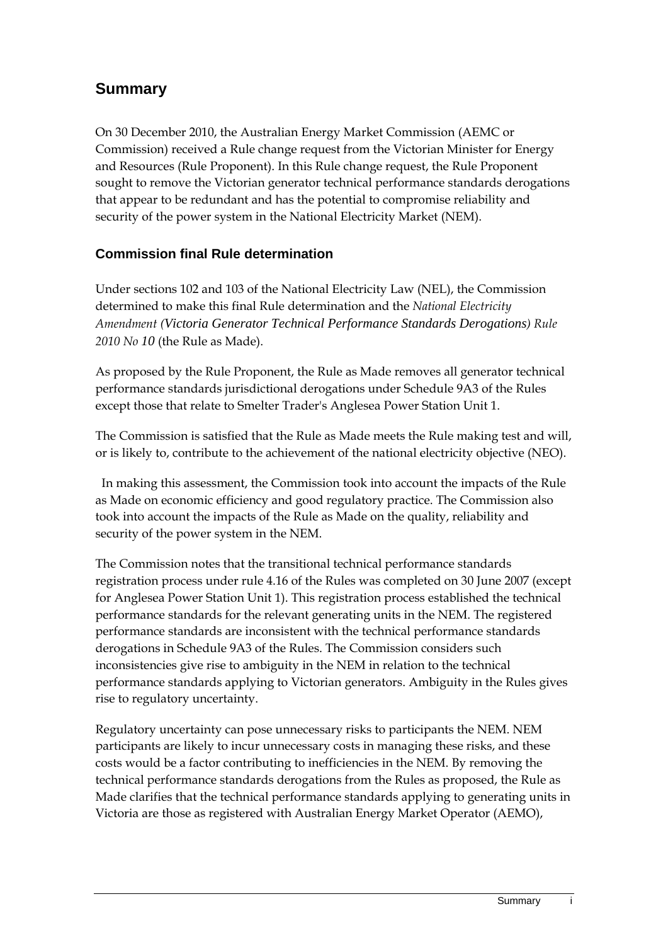## **Summary**

On 30 December 2010, the Australian Energy Market Commission (AEMC or Commission) received a Rule change request from the Victorian Minister for Energy and Resources (Rule Proponent). In this Rule change request, the Rule Proponent sought to remove the Victorian generator technical performance standards derogations that appear to be redundant and has the potential to compromise reliability and security of the power system in the National Electricity Market (NEM).

#### **Commission final Rule determination**

Under sections 102 and 103 of the National Electricity Law (NEL), the Commission determined to make this final Rule determination and the *National Electricity Amendment (Victoria Generator Technical Performance Standards Derogations) Rule 2010 No 10* (the Rule as Made).

As proposed by the Rule Proponent, the Rule as Made removes all generator technical performance standards jurisdictional derogations under Schedule 9A3 of the Rules except those that relate to Smelter Trader's Anglesea Power Station Unit 1.

The Commission is satisfied that the Rule as Made meets the Rule making test and will, or is likely to, contribute to the achievement of the national electricity objective (NEO).

 In making this assessment, the Commission took into account the impacts of the Rule as Made on economic efficiency and good regulatory practice. The Commission also took into account the impacts of the Rule as Made on the quality, reliability and security of the power system in the NEM.

The Commission notes that the transitional technical performance standards registration process under rule 4.16 of the Rules was completed on 30 June 2007 (except for Anglesea Power Station Unit 1). This registration process established the technical performance standards for the relevant generating units in the NEM. The registered performance standards are inconsistent with the technical performance standards derogations in Schedule 9A3 of the Rules. The Commission considers such inconsistencies give rise to ambiguity in the NEM in relation to the technical performance standards applying to Victorian generators. Ambiguity in the Rules gives rise to regulatory uncertainty.

Regulatory uncertainty can pose unnecessary risks to participants the NEM. NEM participants are likely to incur unnecessary costs in managing these risks, and these costs would be a factor contributing to inefficiencies in the NEM. By removing the technical performance standards derogations from the Rules as proposed, the Rule as Made clarifies that the technical performance standards applying to generating units in Victoria are those as registered with Australian Energy Market Operator (AEMO),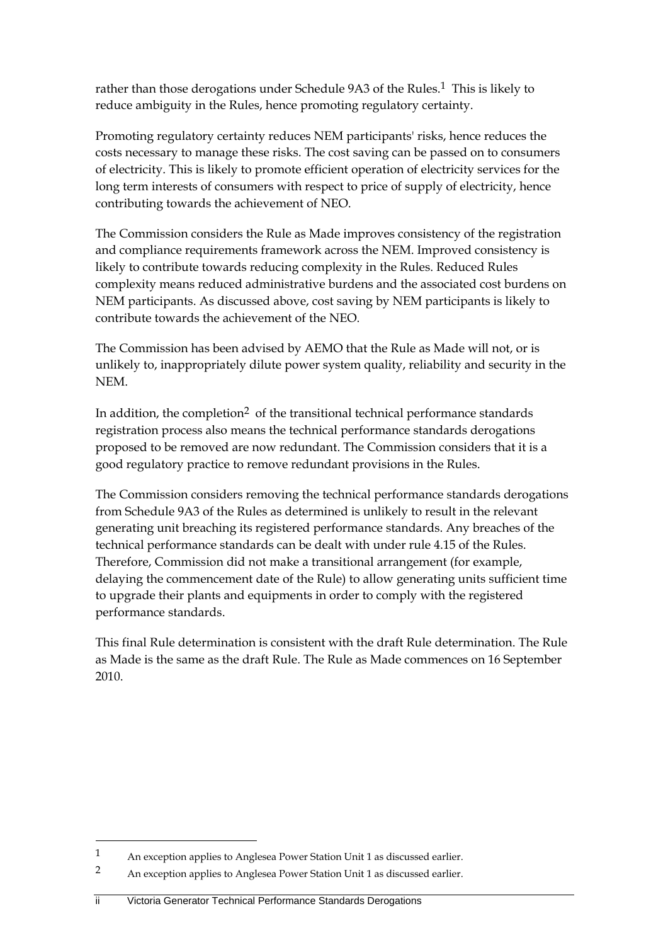rather than those derogations under Schedule 9A3 of the Rules.<sup>1</sup> This is likely to reduce ambiguity in the Rules, hence promoting regulatory certainty.

Promoting regulatory certainty reduces NEM participants' risks, hence reduces the costs necessary to manage these risks. The cost saving can be passed on to consumers of electricity. This is likely to promote efficient operation of electricity services for the long term interests of consumers with respect to price of supply of electricity, hence contributing towards the achievement of NEO.

The Commission considers the Rule as Made improves consistency of the registration and compliance requirements framework across the NEM. Improved consistency is likely to contribute towards reducing complexity in the Rules. Reduced Rules complexity means reduced administrative burdens and the associated cost burdens on NEM participants. As discussed above, cost saving by NEM participants is likely to contribute towards the achievement of the NEO.

The Commission has been advised by AEMO that the Rule as Made will not, or is unlikely to, inappropriately dilute power system quality, reliability and security in the NEM.

In addition, the completion<sup>2</sup> of the transitional technical performance standards registration process also means the technical performance standards derogations proposed to be removed are now redundant. The Commission considers that it is a good regulatory practice to remove redundant provisions in the Rules.

The Commission considers removing the technical performance standards derogations from Schedule 9A3 of the Rules as determined is unlikely to result in the relevant generating unit breaching its registered performance standards. Any breaches of the technical performance standards can be dealt with under rule 4.15 of the Rules. Therefore, Commission did not make a transitional arrangement (for example, delaying the commencement date of the Rule) to allow generating units sufficient time to upgrade their plants and equipments in order to comply with the registered performance standards.

This final Rule determination is consistent with the draft Rule determination. The Rule as Made is the same as the draft Rule. The Rule as Made commences on 16 September 2010.

ii Victoria Generator Technical Performance Standards Derogations

<u>.</u>

<sup>1</sup> An exception applies to Anglesea Power Station Unit 1 as discussed earlier.

<sup>2</sup> An exception applies to Anglesea Power Station Unit 1 as discussed earlier.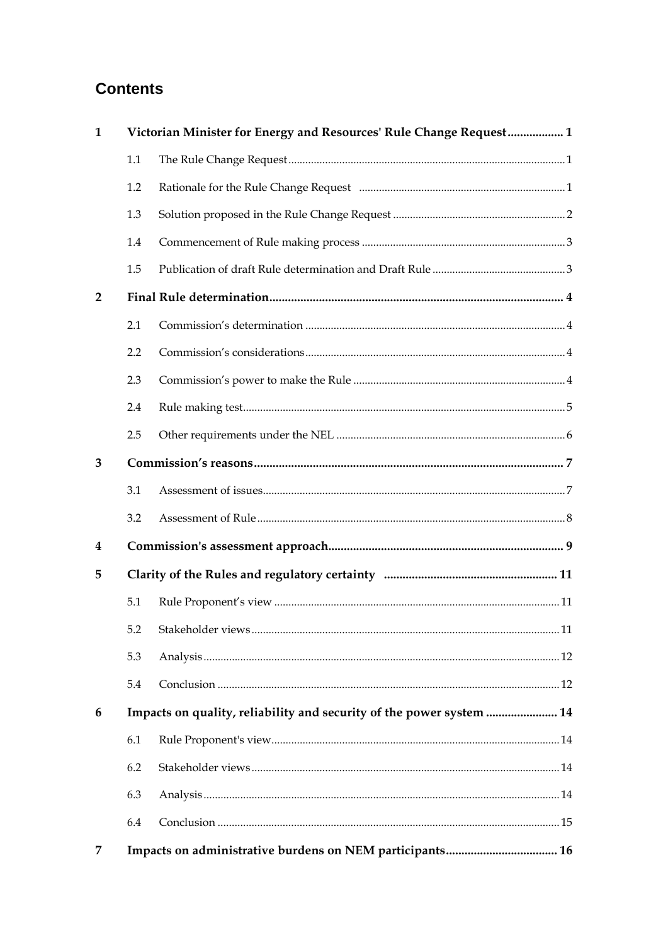## **Contents**

| Victorian Minister for Energy and Resources' Rule Change Request 1<br>1 |                                                                      |  |  |  |  |
|-------------------------------------------------------------------------|----------------------------------------------------------------------|--|--|--|--|
|                                                                         | 1.1                                                                  |  |  |  |  |
|                                                                         | 1.2                                                                  |  |  |  |  |
|                                                                         | 1.3                                                                  |  |  |  |  |
|                                                                         | 1.4                                                                  |  |  |  |  |
|                                                                         | 1.5                                                                  |  |  |  |  |
| $\overline{2}$                                                          |                                                                      |  |  |  |  |
|                                                                         | 2.1                                                                  |  |  |  |  |
|                                                                         | 2.2                                                                  |  |  |  |  |
|                                                                         | 2.3                                                                  |  |  |  |  |
|                                                                         | 2.4                                                                  |  |  |  |  |
|                                                                         | 2.5                                                                  |  |  |  |  |
| 3                                                                       |                                                                      |  |  |  |  |
|                                                                         | 3.1                                                                  |  |  |  |  |
|                                                                         | 3.2                                                                  |  |  |  |  |
| 4                                                                       |                                                                      |  |  |  |  |
| 5                                                                       |                                                                      |  |  |  |  |
|                                                                         | 5.1                                                                  |  |  |  |  |
|                                                                         |                                                                      |  |  |  |  |
|                                                                         | 5.3                                                                  |  |  |  |  |
|                                                                         | 5.4                                                                  |  |  |  |  |
| 6                                                                       | Impacts on quality, reliability and security of the power system  14 |  |  |  |  |
|                                                                         | 6.1                                                                  |  |  |  |  |
|                                                                         | 6.2                                                                  |  |  |  |  |
|                                                                         | 6.3                                                                  |  |  |  |  |
|                                                                         | 6.4                                                                  |  |  |  |  |
| 7                                                                       |                                                                      |  |  |  |  |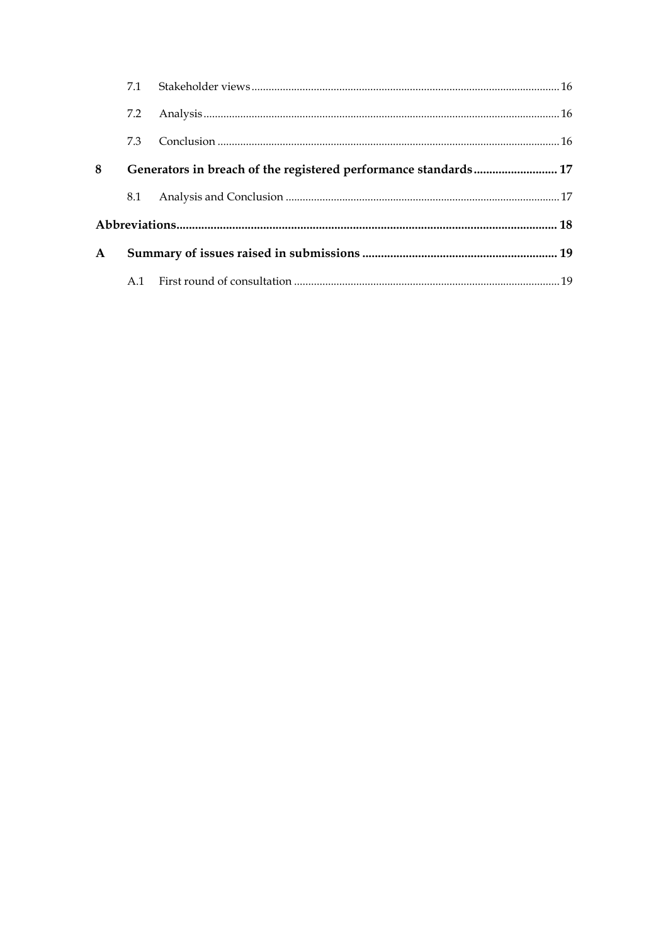|              | 7.1                                                             |  |  |  |
|--------------|-----------------------------------------------------------------|--|--|--|
|              | 7.2                                                             |  |  |  |
|              | 7.3                                                             |  |  |  |
| 8            | Generators in breach of the registered performance standards 17 |  |  |  |
|              | 8.1                                                             |  |  |  |
|              |                                                                 |  |  |  |
| $\mathbf{A}$ |                                                                 |  |  |  |
|              |                                                                 |  |  |  |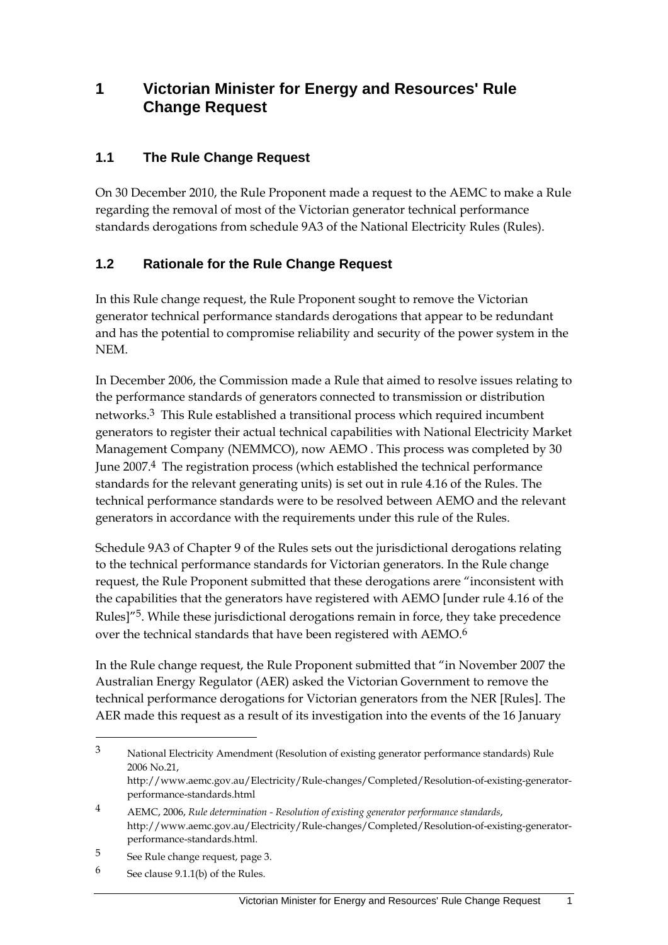### **1 Victorian Minister for Energy and Resources' Rule Change Request**

#### **1.1 The Rule Change Request**

On 30 December 2010, the Rule Proponent made a request to the AEMC to make a Rule regarding the removal of most of the Victorian generator technical performance standards derogations from schedule 9A3 of the National Electricity Rules (Rules).

#### **1.2 Rationale for the Rule Change Request**

In this Rule change request, the Rule Proponent sought to remove the Victorian generator technical performance standards derogations that appear to be redundant and has the potential to compromise reliability and security of the power system in the NEM.

In December 2006, the Commission made a Rule that aimed to resolve issues relating to the performance standards of generators connected to transmission or distribution networks.3 This Rule established a transitional process which required incumbent generators to register their actual technical capabilities with National Electricity Market Management Company (NEMMCO), now AEMO . This process was completed by 30 June 2007.4 The registration process (which established the technical performance standards for the relevant generating units) is set out in rule 4.16 of the Rules. The technical performance standards were to be resolved between AEMO and the relevant generators in accordance with the requirements under this rule of the Rules.

Schedule 9A3 of Chapter 9 of the Rules sets out the jurisdictional derogations relating to the technical performance standards for Victorian generators. In the Rule change request, the Rule Proponent submitted that these derogations arere "inconsistent with the capabilities that the generators have registered with AEMO [under rule 4.16 of the Rules]<sup>"5</sup>. While these jurisdictional derogations remain in force, they take precedence over the technical standards that have been registered with AEMO.6

In the Rule change request, the Rule Proponent submitted that "in November 2007 the Australian Energy Regulator (AER) asked the Victorian Government to remove the technical performance derogations for Victorian generators from the NER [Rules]. The AER made this request as a result of its investigation into the events of the 16 January

<sup>3</sup> National Electricity Amendment (Resolution of existing generator performance standards) Rule 2006 No.21,

http://www.aemc.gov.au/Electricity/Rule-changes/Completed/Resolution-of-existing-generatorperformance-standards.html

<sup>4</sup> AEMC, 2006, *Rule determination - Resolution of existing generator performance standards*, http://www.aemc.gov.au/Electricity/Rule-changes/Completed/Resolution-of-existing-generatorperformance-standards.html.

<sup>5</sup> See Rule change request, page 3.

<sup>6</sup> See clause 9.1.1(b) of the Rules.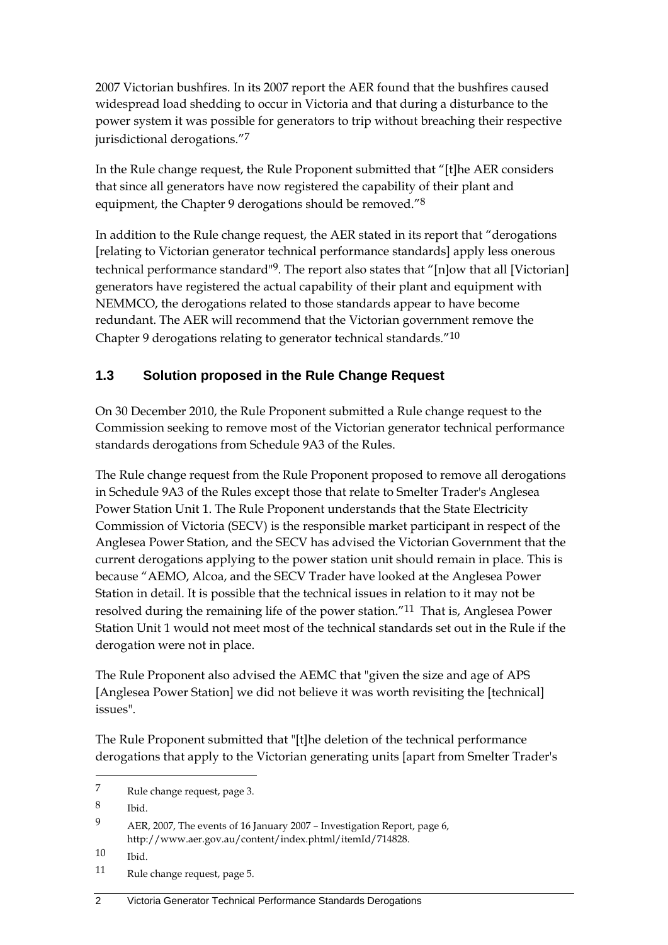2007 Victorian bushfires. In its 2007 report the AER found that the bushfires caused widespread load shedding to occur in Victoria and that during a disturbance to the power system it was possible for generators to trip without breaching their respective jurisdictional derogations."7

In the Rule change request, the Rule Proponent submitted that "[t]he AER considers that since all generators have now registered the capability of their plant and equipment, the Chapter 9 derogations should be removed."<sup>8</sup>

In addition to the Rule change request, the AER stated in its report that "derogations [relating to Victorian generator technical performance standards] apply less onerous technical performance standard"9. The report also states that "[n]ow that all [Victorian] generators have registered the actual capability of their plant and equipment with NEMMCO, the derogations related to those standards appear to have become redundant. The AER will recommend that the Victorian government remove the Chapter 9 derogations relating to generator technical standards."10

### **1.3 Solution proposed in the Rule Change Request**

On 30 December 2010, the Rule Proponent submitted a Rule change request to the Commission seeking to remove most of the Victorian generator technical performance standards derogations from Schedule 9A3 of the Rules.

The Rule change request from the Rule Proponent proposed to remove all derogations in Schedule 9A3 of the Rules except those that relate to Smelter Trader's Anglesea Power Station Unit 1. The Rule Proponent understands that the State Electricity Commission of Victoria (SECV) is the responsible market participant in respect of the Anglesea Power Station, and the SECV has advised the Victorian Government that the current derogations applying to the power station unit should remain in place. This is because "AEMO, Alcoa, and the SECV Trader have looked at the Anglesea Power Station in detail. It is possible that the technical issues in relation to it may not be resolved during the remaining life of the power station."11 That is, Anglesea Power Station Unit 1 would not meet most of the technical standards set out in the Rule if the derogation were not in place.

The Rule Proponent also advised the AEMC that "given the size and age of APS [Anglesea Power Station] we did not believe it was worth revisiting the [technical] issues".

The Rule Proponent submitted that "[t]he deletion of the technical performance derogations that apply to the Victorian generating units [apart from Smelter Trader's

8 Ibid.

<sup>7</sup> Rule change request, page 3.

<sup>9</sup> AER, 2007, The events of 16 January 2007 – Investigation Report, page 6, http://www.aer.gov.au/content/index.phtml/itemId/714828.

<sup>10</sup> Ibid.

<sup>11</sup> Rule change request, page 5.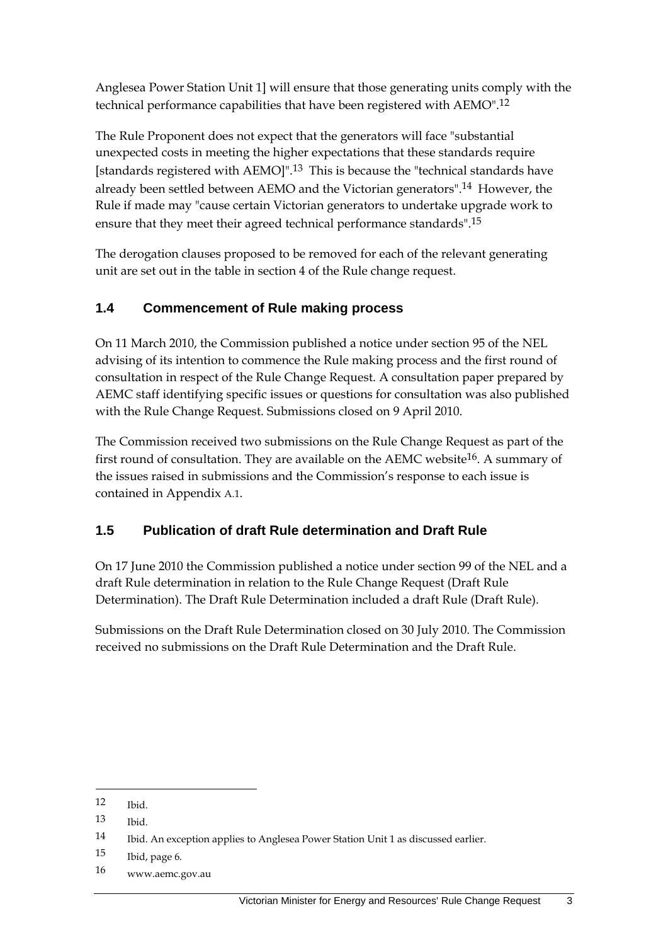Anglesea Power Station Unit 1] will ensure that those generating units comply with the technical performance capabilities that have been registered with AEMO".12

The Rule Proponent does not expect that the generators will face "substantial unexpected costs in meeting the higher expectations that these standards require [standards registered with AEMO]".13 This is because the "technical standards have already been settled between AEMO and the Victorian generators".14 However, the Rule if made may "cause certain Victorian generators to undertake upgrade work to ensure that they meet their agreed technical performance standards".15

The derogation clauses proposed to be removed for each of the relevant generating unit are set out in the table in section 4 of the Rule change request.

### **1.4 Commencement of Rule making process**

On 11 March 2010, the Commission published a notice under section 95 of the NEL advising of its intention to commence the Rule making process and the first round of consultation in respect of the Rule Change Request. A consultation paper prepared by AEMC staff identifying specific issues or questions for consultation was also published with the Rule Change Request. Submissions closed on 9 April 2010.

The Commission received two submissions on the Rule Change Request as part of the first round of consultation. They are available on the AEMC website<sup>16</sup>. A summary of the issues raised in submissions and the Commission's response to each issue is contained in Appendix A.1.

#### **1.5 Publication of draft Rule determination and Draft Rule**

On 17 June 2010 the Commission published a notice under section 99 of the NEL and a draft Rule determination in relation to the Rule Change Request (Draft Rule Determination). The Draft Rule Determination included a draft Rule (Draft Rule).

Submissions on the Draft Rule Determination closed on 30 July 2010. The Commission received no submissions on the Draft Rule Determination and the Draft Rule.

<sup>12</sup> Ibid.

<sup>13</sup> Ibid.

<sup>14</sup> Ibid. An exception applies to Anglesea Power Station Unit 1 as discussed earlier.

<sup>15</sup> Ibid, page 6.

<sup>16</sup> www.aemc.gov.au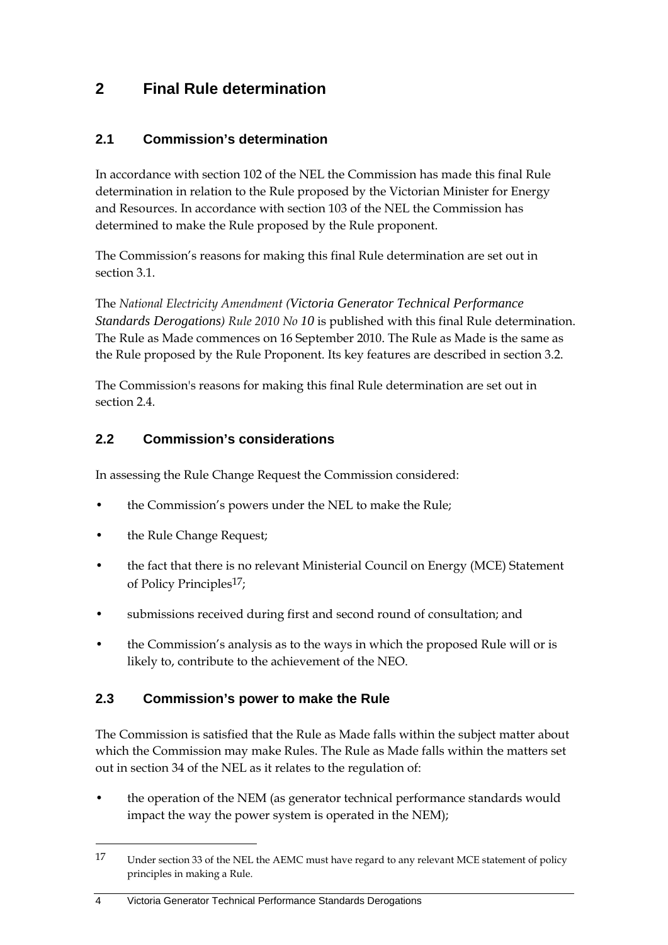## **2 Final Rule determination**

#### **2.1 Commission's determination**

In accordance with section 102 of the NEL the Commission has made this final Rule determination in relation to the Rule proposed by the Victorian Minister for Energy and Resources. In accordance with section 103 of the NEL the Commission has determined to make the Rule proposed by the Rule proponent.

The Commission's reasons for making this final Rule determination are set out in section 3.1.

The *National Electricity Amendment (Victoria Generator Technical Performance Standards Derogations) Rule 2010 No 10* is published with this final Rule determination. The Rule as Made commences on 16 September 2010. The Rule as Made is the same as the Rule proposed by the Rule Proponent. Its key features are described in section 3.2.

The Commission's reasons for making this final Rule determination are set out in section 2.4

#### **2.2 Commission's considerations**

In assessing the Rule Change Request the Commission considered:

- the Commission's powers under the NEL to make the Rule;
- the Rule Change Request;
- the fact that there is no relevant Ministerial Council on Energy (MCE) Statement of Policy Principles17;
- submissions received during first and second round of consultation; and
- the Commission's analysis as to the ways in which the proposed Rule will or is likely to, contribute to the achievement of the NEO.

#### **2.3 Commission's power to make the Rule**

The Commission is satisfied that the Rule as Made falls within the subject matter about which the Commission may make Rules. The Rule as Made falls within the matters set out in section 34 of the NEL as it relates to the regulation of:

• the operation of the NEM (as generator technical performance standards would impact the way the power system is operated in the NEM);

<u>.</u>

<sup>17</sup> Under section 33 of the NEL the AEMC must have regard to any relevant MCE statement of policy principles in making a Rule.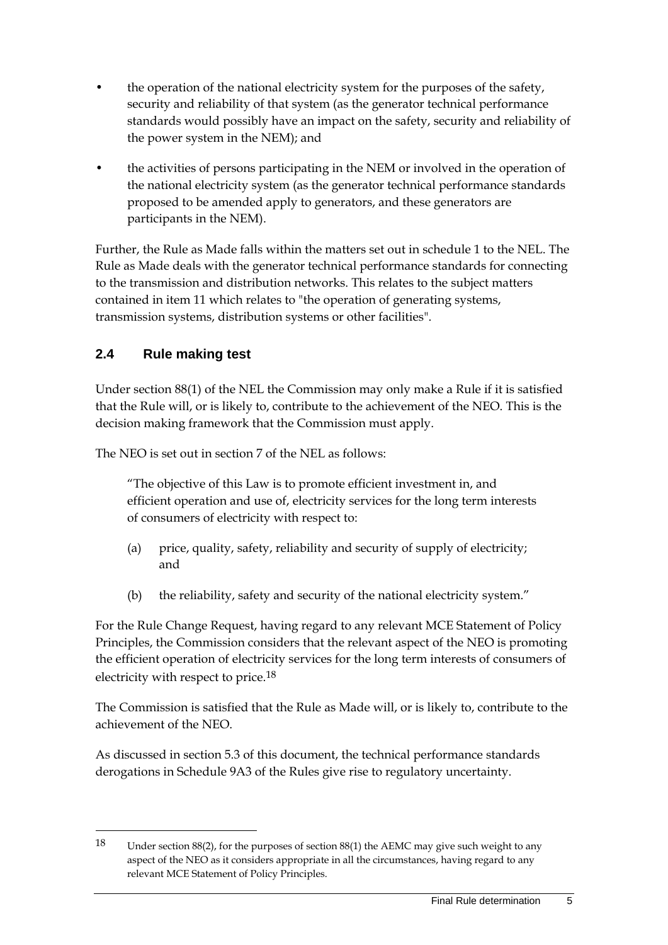- the operation of the national electricity system for the purposes of the safety, security and reliability of that system (as the generator technical performance standards would possibly have an impact on the safety, security and reliability of the power system in the NEM); and
- the activities of persons participating in the NEM or involved in the operation of the national electricity system (as the generator technical performance standards proposed to be amended apply to generators, and these generators are participants in the NEM).

Further, the Rule as Made falls within the matters set out in schedule 1 to the NEL. The Rule as Made deals with the generator technical performance standards for connecting to the transmission and distribution networks. This relates to the subject matters contained in item 11 which relates to "the operation of generating systems, transmission systems, distribution systems or other facilities".

### **2.4 Rule making test**

1

Under section 88(1) of the NEL the Commission may only make a Rule if it is satisfied that the Rule will, or is likely to, contribute to the achievement of the NEO. This is the decision making framework that the Commission must apply.

The NEO is set out in section 7 of the NEL as follows:

"The objective of this Law is to promote efficient investment in, and efficient operation and use of, electricity services for the long term interests of consumers of electricity with respect to:

- (a) price, quality, safety, reliability and security of supply of electricity; and
- (b) the reliability, safety and security of the national electricity system."

For the Rule Change Request, having regard to any relevant MCE Statement of Policy Principles, the Commission considers that the relevant aspect of the NEO is promoting the efficient operation of electricity services for the long term interests of consumers of electricity with respect to price.18

The Commission is satisfied that the Rule as Made will, or is likely to, contribute to the achievement of the NEO.

As discussed in section 5.3 of this document, the technical performance standards derogations in Schedule 9A3 of the Rules give rise to regulatory uncertainty.

<sup>18</sup> Under section 88(2), for the purposes of section 88(1) the AEMC may give such weight to any aspect of the NEO as it considers appropriate in all the circumstances, having regard to any relevant MCE Statement of Policy Principles.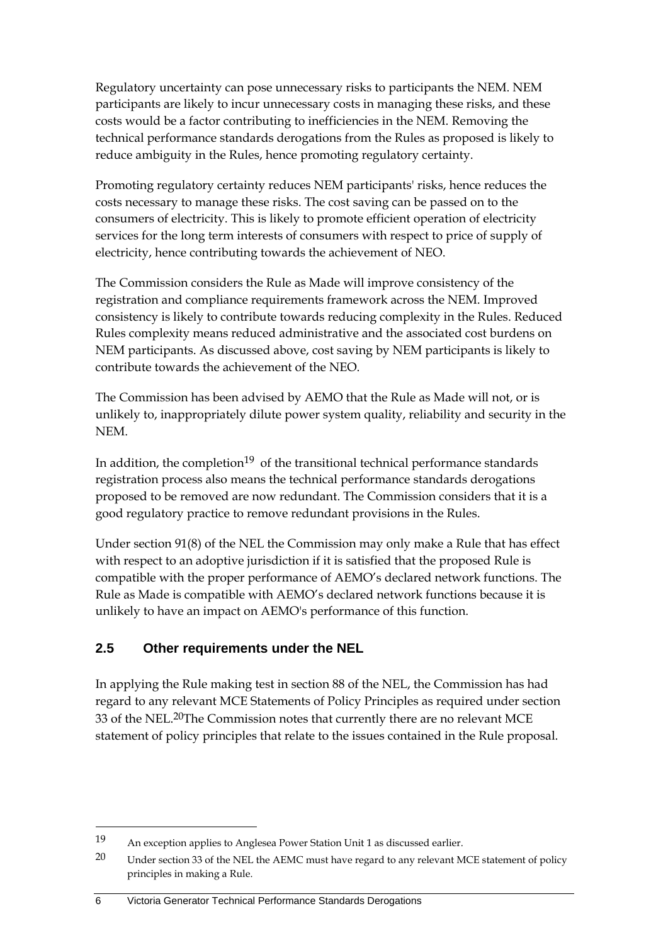Regulatory uncertainty can pose unnecessary risks to participants the NEM. NEM participants are likely to incur unnecessary costs in managing these risks, and these costs would be a factor contributing to inefficiencies in the NEM. Removing the technical performance standards derogations from the Rules as proposed is likely to reduce ambiguity in the Rules, hence promoting regulatory certainty.

Promoting regulatory certainty reduces NEM participants' risks, hence reduces the costs necessary to manage these risks. The cost saving can be passed on to the consumers of electricity. This is likely to promote efficient operation of electricity services for the long term interests of consumers with respect to price of supply of electricity, hence contributing towards the achievement of NEO.

The Commission considers the Rule as Made will improve consistency of the registration and compliance requirements framework across the NEM. Improved consistency is likely to contribute towards reducing complexity in the Rules. Reduced Rules complexity means reduced administrative and the associated cost burdens on NEM participants. As discussed above, cost saving by NEM participants is likely to contribute towards the achievement of the NEO.

The Commission has been advised by AEMO that the Rule as Made will not, or is unlikely to, inappropriately dilute power system quality, reliability and security in the NEM.

In addition, the completion<sup>19</sup> of the transitional technical performance standards registration process also means the technical performance standards derogations proposed to be removed are now redundant. The Commission considers that it is a good regulatory practice to remove redundant provisions in the Rules.

Under section 91(8) of the NEL the Commission may only make a Rule that has effect with respect to an adoptive jurisdiction if it is satisfied that the proposed Rule is compatible with the proper performance of AEMO's declared network functions. The Rule as Made is compatible with AEMO's declared network functions because it is unlikely to have an impact on AEMO's performance of this function.

#### **2.5 Other requirements under the NEL**

1

In applying the Rule making test in section 88 of the NEL, the Commission has had regard to any relevant MCE Statements of Policy Principles as required under section 33 of the NEL.20The Commission notes that currently there are no relevant MCE statement of policy principles that relate to the issues contained in the Rule proposal.

#### 6 Victoria Generator Technical Performance Standards Derogations

<sup>19</sup> An exception applies to Anglesea Power Station Unit 1 as discussed earlier.

<sup>20</sup> Under section 33 of the NEL the AEMC must have regard to any relevant MCE statement of policy principles in making a Rule.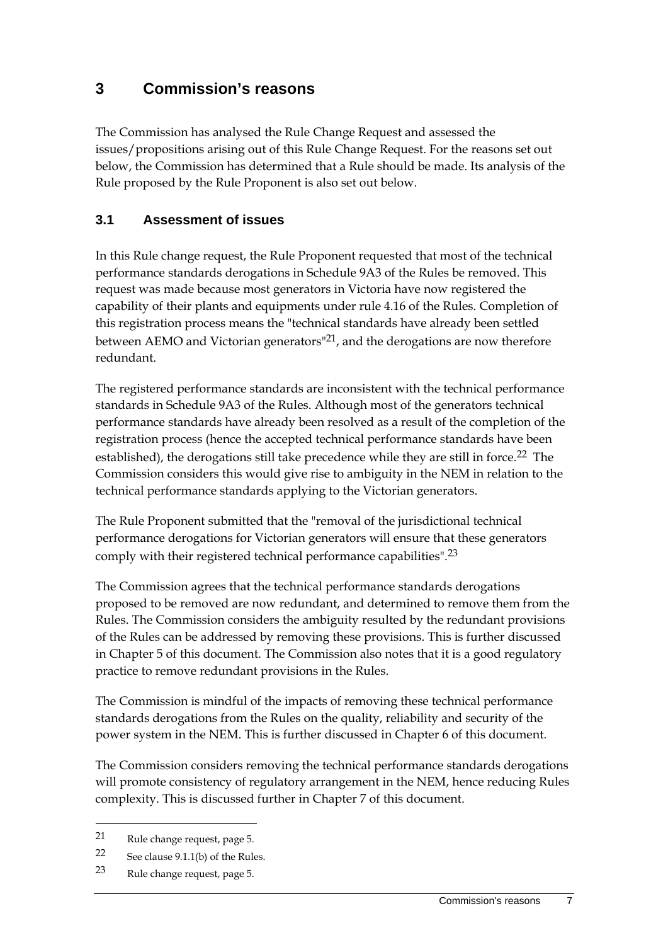### **3 Commission's reasons**

The Commission has analysed the Rule Change Request and assessed the issues/propositions arising out of this Rule Change Request. For the reasons set out below, the Commission has determined that a Rule should be made. Its analysis of the Rule proposed by the Rule Proponent is also set out below.

#### **3.1 Assessment of issues**

In this Rule change request, the Rule Proponent requested that most of the technical performance standards derogations in Schedule 9A3 of the Rules be removed. This request was made because most generators in Victoria have now registered the capability of their plants and equipments under rule 4.16 of the Rules. Completion of this registration process means the "technical standards have already been settled between AEMO and Victorian generators<sup>"21</sup>, and the derogations are now therefore redundant.

The registered performance standards are inconsistent with the technical performance standards in Schedule 9A3 of the Rules. Although most of the generators technical performance standards have already been resolved as a result of the completion of the registration process (hence the accepted technical performance standards have been established), the derogations still take precedence while they are still in force.<sup>22</sup> The Commission considers this would give rise to ambiguity in the NEM in relation to the technical performance standards applying to the Victorian generators.

The Rule Proponent submitted that the "removal of the jurisdictional technical performance derogations for Victorian generators will ensure that these generators comply with their registered technical performance capabilities".23

The Commission agrees that the technical performance standards derogations proposed to be removed are now redundant, and determined to remove them from the Rules. The Commission considers the ambiguity resulted by the redundant provisions of the Rules can be addressed by removing these provisions. This is further discussed in Chapter 5 of this document. The Commission also notes that it is a good regulatory practice to remove redundant provisions in the Rules.

The Commission is mindful of the impacts of removing these technical performance standards derogations from the Rules on the quality, reliability and security of the power system in the NEM. This is further discussed in Chapter 6 of this document.

The Commission considers removing the technical performance standards derogations will promote consistency of regulatory arrangement in the NEM, hence reducing Rules complexity. This is discussed further in Chapter 7 of this document.

<sup>21</sup> Rule change request, page 5.

<sup>22</sup> See clause 9.1.1(b) of the Rules.

<sup>23</sup> Rule change request, page 5.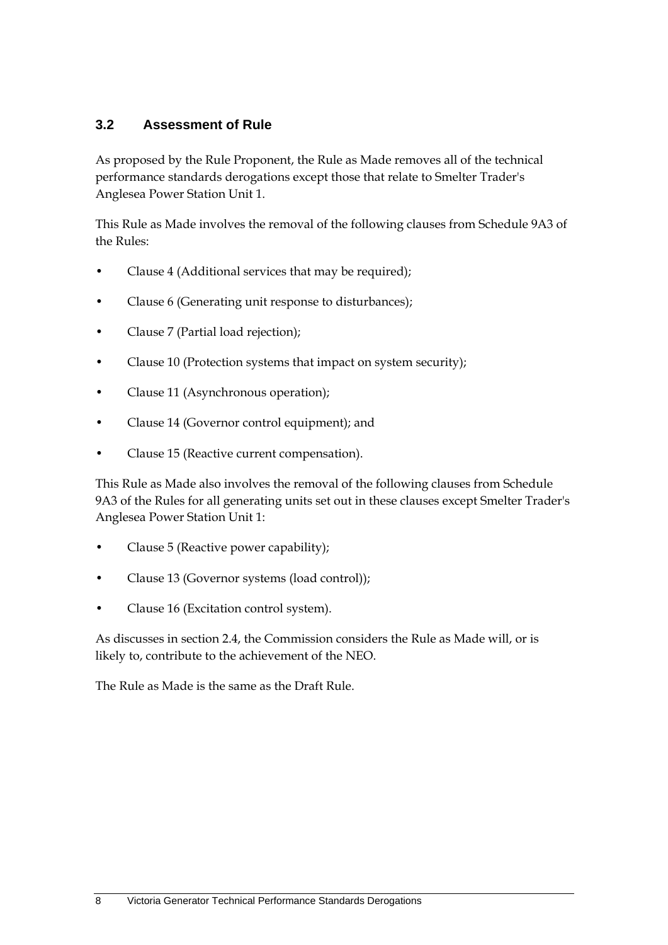#### **3.2 Assessment of Rule**

As proposed by the Rule Proponent, the Rule as Made removes all of the technical performance standards derogations except those that relate to Smelter Trader's Anglesea Power Station Unit 1.

This Rule as Made involves the removal of the following clauses from Schedule 9A3 of the Rules:

- Clause 4 (Additional services that may be required);
- Clause 6 (Generating unit response to disturbances);
- Clause 7 (Partial load rejection);
- Clause 10 (Protection systems that impact on system security);
- Clause 11 (Asynchronous operation);
- Clause 14 (Governor control equipment); and
- Clause 15 (Reactive current compensation).

This Rule as Made also involves the removal of the following clauses from Schedule 9A3 of the Rules for all generating units set out in these clauses except Smelter Trader's Anglesea Power Station Unit 1:

- Clause 5 (Reactive power capability);
- Clause 13 (Governor systems (load control));
- Clause 16 (Excitation control system).

As discusses in section 2.4, the Commission considers the Rule as Made will, or is likely to, contribute to the achievement of the NEO.

The Rule as Made is the same as the Draft Rule.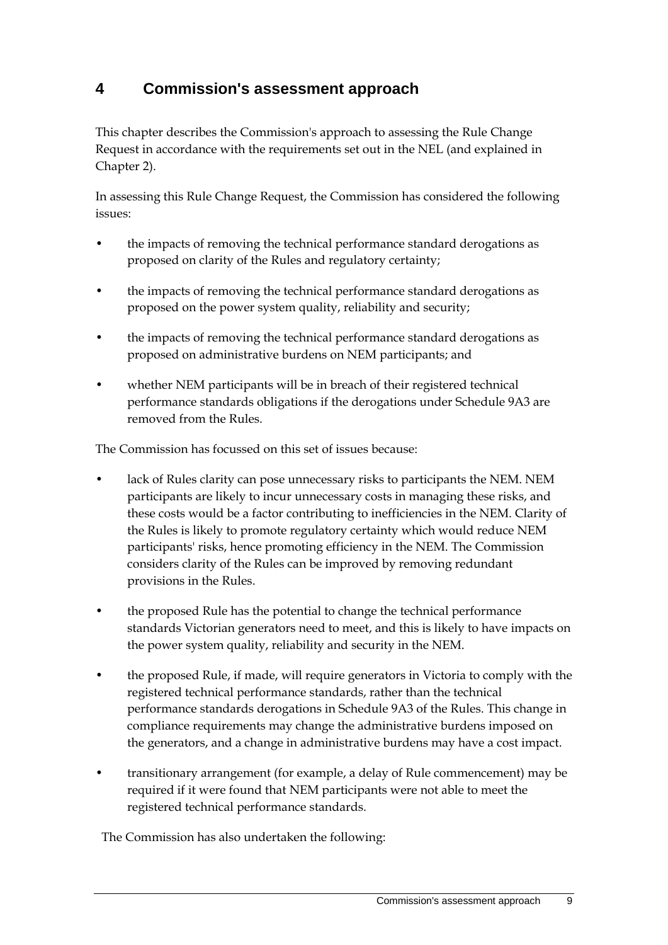## **4 Commission's assessment approach**

This chapter describes the Commission's approach to assessing the Rule Change Request in accordance with the requirements set out in the NEL (and explained in Chapter 2).

In assessing this Rule Change Request, the Commission has considered the following issues:

- the impacts of removing the technical performance standard derogations as proposed on clarity of the Rules and regulatory certainty;
- the impacts of removing the technical performance standard derogations as proposed on the power system quality, reliability and security;
- the impacts of removing the technical performance standard derogations as proposed on administrative burdens on NEM participants; and
- whether NEM participants will be in breach of their registered technical performance standards obligations if the derogations under Schedule 9A3 are removed from the Rules.

The Commission has focussed on this set of issues because:

- lack of Rules clarity can pose unnecessary risks to participants the NEM. NEM participants are likely to incur unnecessary costs in managing these risks, and these costs would be a factor contributing to inefficiencies in the NEM. Clarity of the Rules is likely to promote regulatory certainty which would reduce NEM participants' risks, hence promoting efficiency in the NEM. The Commission considers clarity of the Rules can be improved by removing redundant provisions in the Rules.
- the proposed Rule has the potential to change the technical performance standards Victorian generators need to meet, and this is likely to have impacts on the power system quality, reliability and security in the NEM.
- the proposed Rule, if made, will require generators in Victoria to comply with the registered technical performance standards, rather than the technical performance standards derogations in Schedule 9A3 of the Rules. This change in compliance requirements may change the administrative burdens imposed on the generators, and a change in administrative burdens may have a cost impact.
- transitionary arrangement (for example, a delay of Rule commencement) may be required if it were found that NEM participants were not able to meet the registered technical performance standards.

The Commission has also undertaken the following: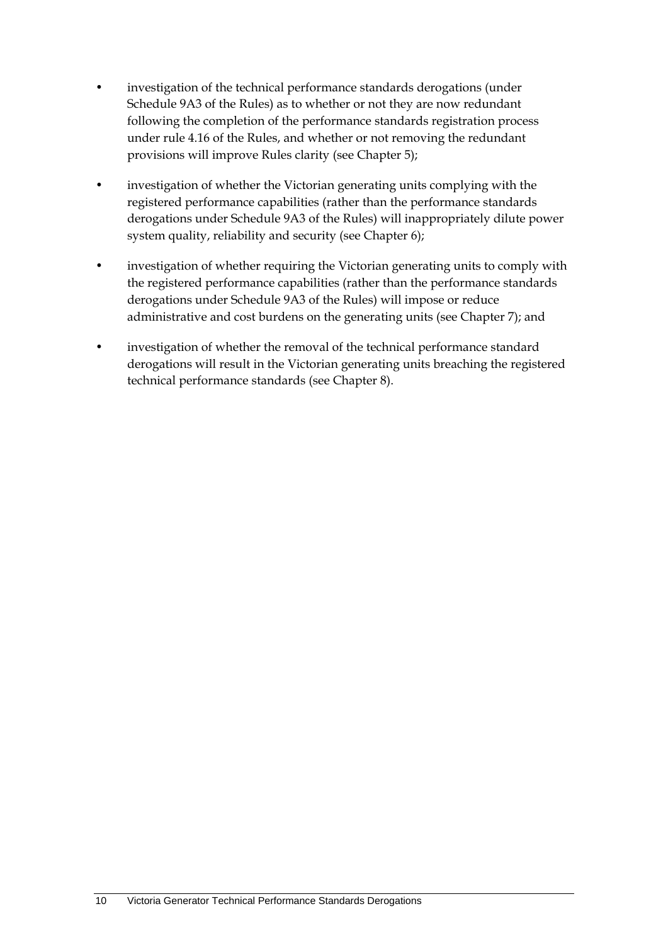- investigation of the technical performance standards derogations (under Schedule 9A3 of the Rules) as to whether or not they are now redundant following the completion of the performance standards registration process under rule 4.16 of the Rules, and whether or not removing the redundant provisions will improve Rules clarity (see Chapter 5);
- investigation of whether the Victorian generating units complying with the registered performance capabilities (rather than the performance standards derogations under Schedule 9A3 of the Rules) will inappropriately dilute power system quality, reliability and security (see Chapter 6);
- investigation of whether requiring the Victorian generating units to comply with the registered performance capabilities (rather than the performance standards derogations under Schedule 9A3 of the Rules) will impose or reduce administrative and cost burdens on the generating units (see Chapter 7); and
- investigation of whether the removal of the technical performance standard derogations will result in the Victorian generating units breaching the registered technical performance standards (see Chapter 8).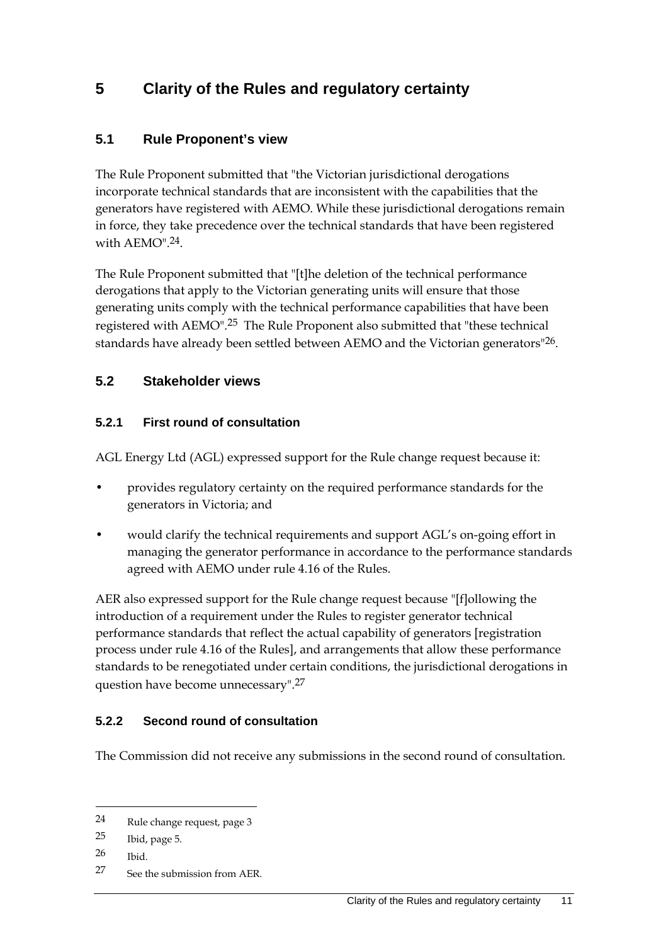## **5 Clarity of the Rules and regulatory certainty**

#### **5.1 Rule Proponent's view**

The Rule Proponent submitted that "the Victorian jurisdictional derogations incorporate technical standards that are inconsistent with the capabilities that the generators have registered with AEMO. While these jurisdictional derogations remain in force, they take precedence over the technical standards that have been registered with  $AEMO$ <sup>"</sup> $24$ .

The Rule Proponent submitted that "[t]he deletion of the technical performance derogations that apply to the Victorian generating units will ensure that those generating units comply with the technical performance capabilities that have been registered with AEMO".25 The Rule Proponent also submitted that "these technical standards have already been settled between AEMO and the Victorian generators<sup>"26</sup>.

#### **5.2 Stakeholder views**

#### **5.2.1 First round of consultation**

AGL Energy Ltd (AGL) expressed support for the Rule change request because it:

- provides regulatory certainty on the required performance standards for the generators in Victoria; and
- would clarify the technical requirements and support AGL's on-going effort in managing the generator performance in accordance to the performance standards agreed with AEMO under rule 4.16 of the Rules.

AER also expressed support for the Rule change request because "[f]ollowing the introduction of a requirement under the Rules to register generator technical performance standards that reflect the actual capability of generators [registration process under rule 4.16 of the Rules], and arrangements that allow these performance standards to be renegotiated under certain conditions, the jurisdictional derogations in question have become unnecessary".27

#### **5.2.2 Second round of consultation**

The Commission did not receive any submissions in the second round of consultation.

<sup>24</sup> Rule change request, page 3

<sup>25</sup> Ibid, page 5.

<sup>26</sup> Ibid.

<sup>27</sup> See the submission from AER.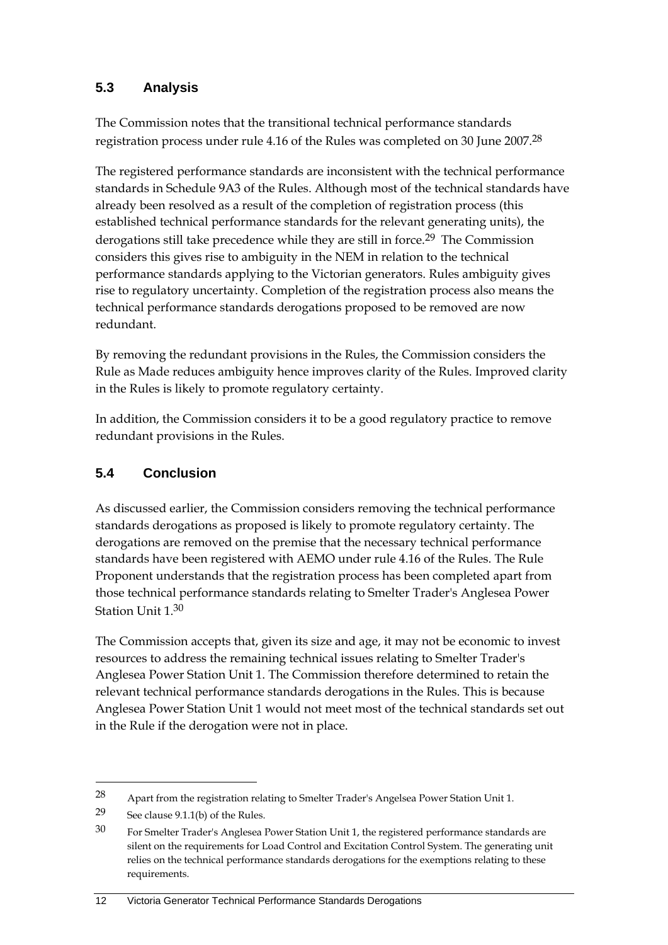#### **5.3 Analysis**

The Commission notes that the transitional technical performance standards registration process under rule 4.16 of the Rules was completed on 30 June 2007.<sup>28</sup>

The registered performance standards are inconsistent with the technical performance standards in Schedule 9A3 of the Rules. Although most of the technical standards have already been resolved as a result of the completion of registration process (this established technical performance standards for the relevant generating units), the derogations still take precedence while they are still in force.<sup>29</sup> The Commission considers this gives rise to ambiguity in the NEM in relation to the technical performance standards applying to the Victorian generators. Rules ambiguity gives rise to regulatory uncertainty. Completion of the registration process also means the technical performance standards derogations proposed to be removed are now redundant.

By removing the redundant provisions in the Rules, the Commission considers the Rule as Made reduces ambiguity hence improves clarity of the Rules. Improved clarity in the Rules is likely to promote regulatory certainty.

In addition, the Commission considers it to be a good regulatory practice to remove redundant provisions in the Rules.

### **5.4 Conclusion**

As discussed earlier, the Commission considers removing the technical performance standards derogations as proposed is likely to promote regulatory certainty. The derogations are removed on the premise that the necessary technical performance standards have been registered with AEMO under rule 4.16 of the Rules. The Rule Proponent understands that the registration process has been completed apart from those technical performance standards relating to Smelter Trader's Anglesea Power Station Unit 1.30

The Commission accepts that, given its size and age, it may not be economic to invest resources to address the remaining technical issues relating to Smelter Trader's Anglesea Power Station Unit 1. The Commission therefore determined to retain the relevant technical performance standards derogations in the Rules. This is because Anglesea Power Station Unit 1 would not meet most of the technical standards set out in the Rule if the derogation were not in place.

<sup>28</sup> Apart from the registration relating to Smelter Trader's Angelsea Power Station Unit 1.

<sup>29</sup> See clause 9.1.1(b) of the Rules.

<sup>30</sup> For Smelter Trader's Anglesea Power Station Unit 1, the registered performance standards are silent on the requirements for Load Control and Excitation Control System. The generating unit relies on the technical performance standards derogations for the exemptions relating to these requirements.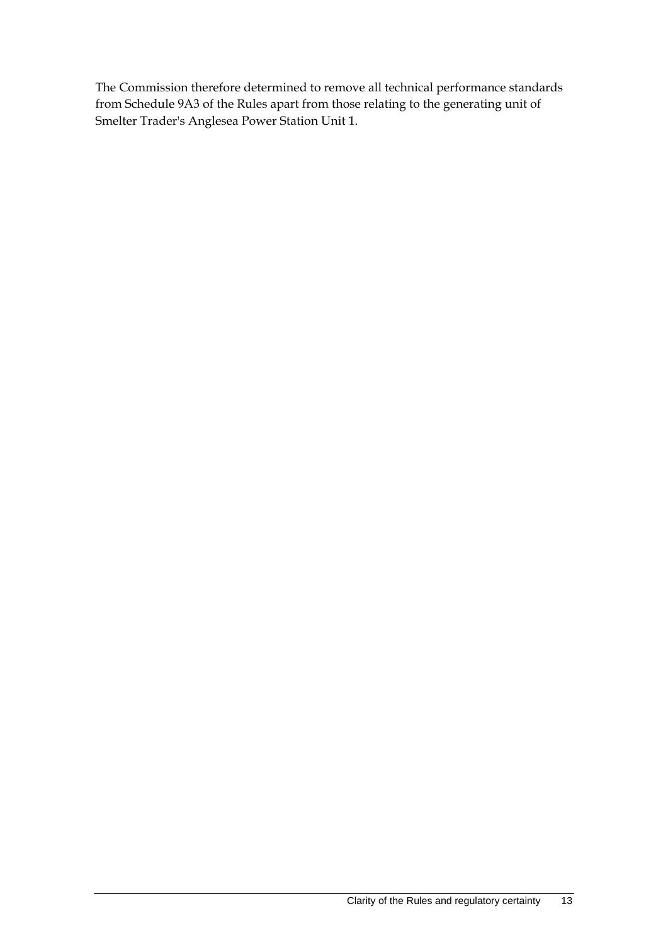The Commission therefore determined to remove all technical performance standards from Schedule 9A3 of the Rules apart from those relating to the generating unit of Smelter Trader's Anglesea Power Station Unit 1.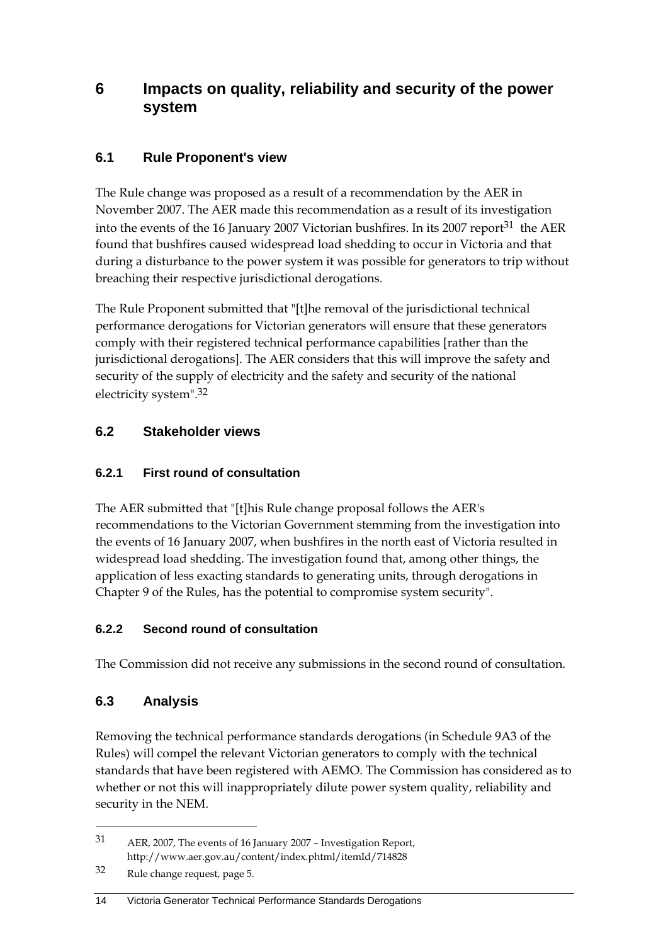### **6 Impacts on quality, reliability and security of the power system**

### **6.1 Rule Proponent's view**

The Rule change was proposed as a result of a recommendation by the AER in November 2007. The AER made this recommendation as a result of its investigation into the events of the 16 January 2007 Victorian bushfires. In its 2007 report<sup>31</sup> the AER found that bushfires caused widespread load shedding to occur in Victoria and that during a disturbance to the power system it was possible for generators to trip without breaching their respective jurisdictional derogations.

The Rule Proponent submitted that "[t]he removal of the jurisdictional technical performance derogations for Victorian generators will ensure that these generators comply with their registered technical performance capabilities [rather than the jurisdictional derogations]. The AER considers that this will improve the safety and security of the supply of electricity and the safety and security of the national electricity system".32

#### **6.2 Stakeholder views**

#### **6.2.1 First round of consultation**

The AER submitted that "[t]his Rule change proposal follows the AER's recommendations to the Victorian Government stemming from the investigation into the events of 16 January 2007, when bushfires in the north east of Victoria resulted in widespread load shedding. The investigation found that, among other things, the application of less exacting standards to generating units, through derogations in Chapter 9 of the Rules, has the potential to compromise system security".

#### **6.2.2 Second round of consultation**

The Commission did not receive any submissions in the second round of consultation.

### **6.3 Analysis**

1

Removing the technical performance standards derogations (in Schedule 9A3 of the Rules) will compel the relevant Victorian generators to comply with the technical standards that have been registered with AEMO. The Commission has considered as to whether or not this will inappropriately dilute power system quality, reliability and security in the NEM.

#### 14 Victoria Generator Technical Performance Standards Derogations

<sup>31</sup> AER, 2007, The events of 16 January 2007 – Investigation Report, http://www.aer.gov.au/content/index.phtml/itemId/714828

<sup>32</sup> Rule change request, page 5.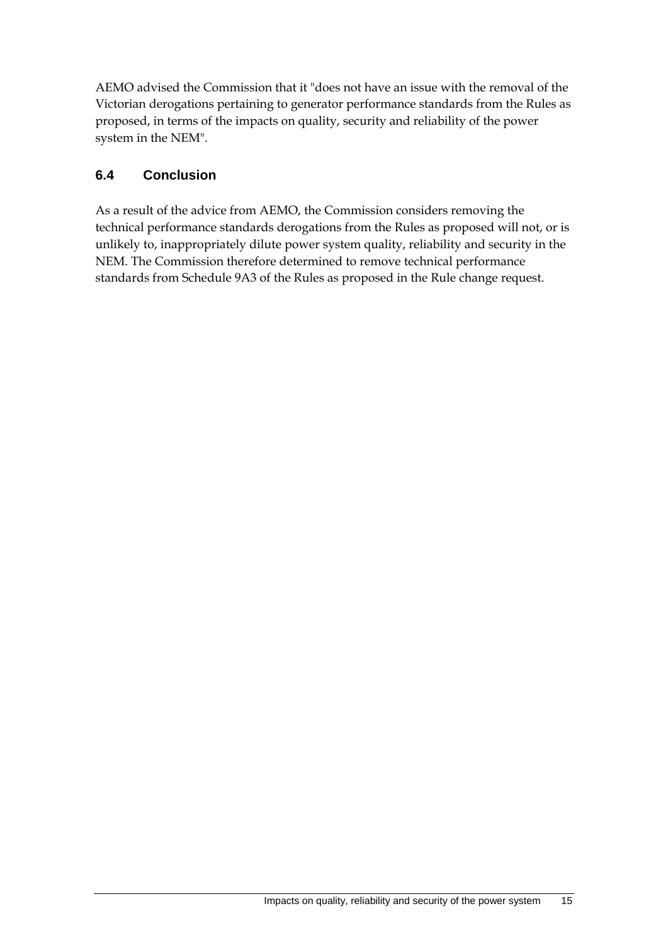AEMO advised the Commission that it "does not have an issue with the removal of the Victorian derogations pertaining to generator performance standards from the Rules as proposed, in terms of the impacts on quality, security and reliability of the power system in the NEM".

#### **6.4 Conclusion**

As a result of the advice from AEMO, the Commission considers removing the technical performance standards derogations from the Rules as proposed will not, or is unlikely to, inappropriately dilute power system quality, reliability and security in the NEM. The Commission therefore determined to remove technical performance standards from Schedule 9A3 of the Rules as proposed in the Rule change request.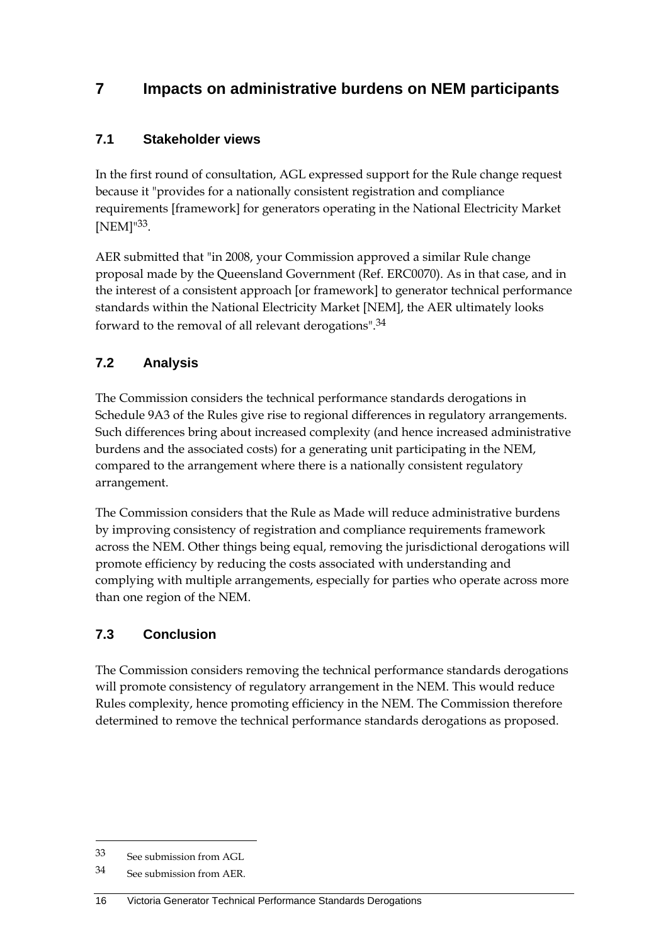## **7 Impacts on administrative burdens on NEM participants**

#### **7.1 Stakeholder views**

In the first round of consultation, AGL expressed support for the Rule change request because it "provides for a nationally consistent registration and compliance requirements [framework] for generators operating in the National Electricity Market [NEM]"33.

AER submitted that "in 2008, your Commission approved a similar Rule change proposal made by the Queensland Government (Ref. ERC0070). As in that case, and in the interest of a consistent approach [or framework] to generator technical performance standards within the National Electricity Market [NEM], the AER ultimately looks forward to the removal of all relevant derogations".34

### **7.2 Analysis**

The Commission considers the technical performance standards derogations in Schedule 9A3 of the Rules give rise to regional differences in regulatory arrangements. Such differences bring about increased complexity (and hence increased administrative burdens and the associated costs) for a generating unit participating in the NEM, compared to the arrangement where there is a nationally consistent regulatory arrangement.

The Commission considers that the Rule as Made will reduce administrative burdens by improving consistency of registration and compliance requirements framework across the NEM. Other things being equal, removing the jurisdictional derogations will promote efficiency by reducing the costs associated with understanding and complying with multiple arrangements, especially for parties who operate across more than one region of the NEM.

### **7.3 Conclusion**

The Commission considers removing the technical performance standards derogations will promote consistency of regulatory arrangement in the NEM. This would reduce Rules complexity, hence promoting efficiency in the NEM. The Commission therefore determined to remove the technical performance standards derogations as proposed.

<u>.</u>

<sup>33</sup> See submission from AGL

<sup>34</sup> See submission from AER.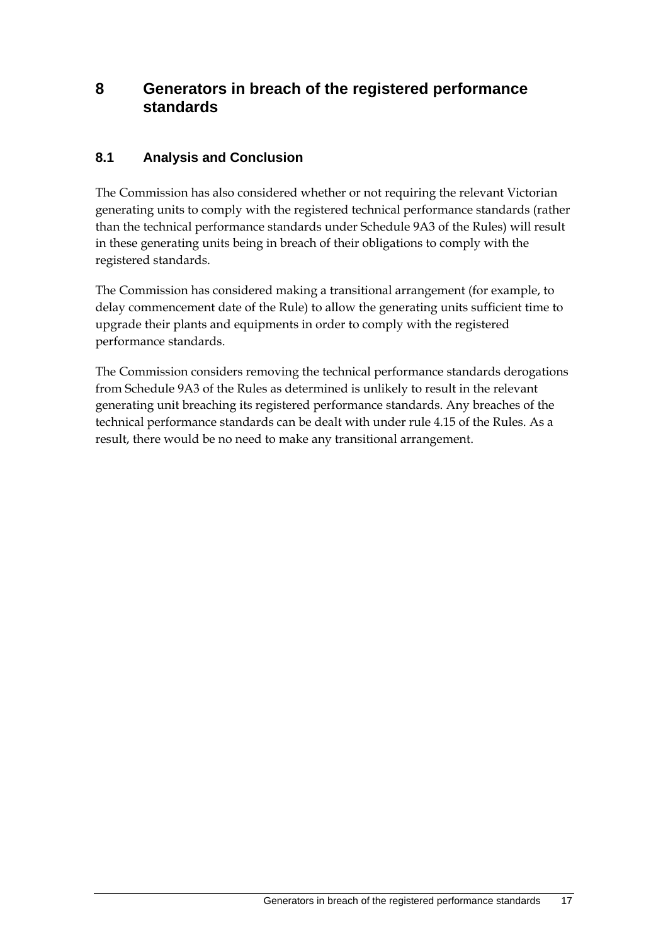### **8 Generators in breach of the registered performance standards**

#### **8.1 Analysis and Conclusion**

The Commission has also considered whether or not requiring the relevant Victorian generating units to comply with the registered technical performance standards (rather than the technical performance standards under Schedule 9A3 of the Rules) will result in these generating units being in breach of their obligations to comply with the registered standards.

The Commission has considered making a transitional arrangement (for example, to delay commencement date of the Rule) to allow the generating units sufficient time to upgrade their plants and equipments in order to comply with the registered performance standards.

The Commission considers removing the technical performance standards derogations from Schedule 9A3 of the Rules as determined is unlikely to result in the relevant generating unit breaching its registered performance standards. Any breaches of the technical performance standards can be dealt with under rule 4.15 of the Rules. As a result, there would be no need to make any transitional arrangement.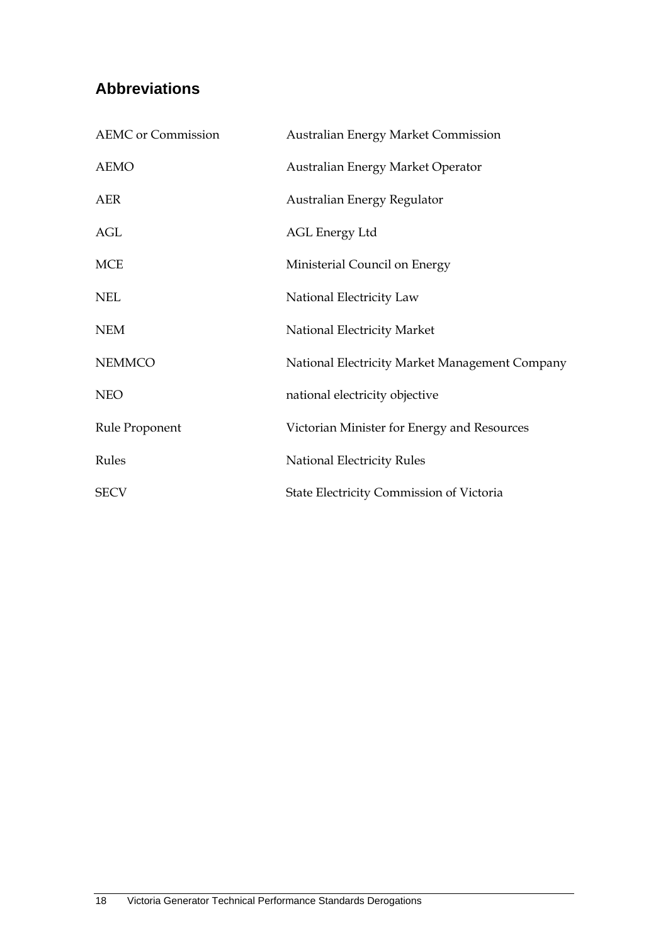## **Abbreviations**

| <b>AEMC</b> or Commission | Australian Energy Market Commission            |
|---------------------------|------------------------------------------------|
| <b>AEMO</b>               | Australian Energy Market Operator              |
| <b>AER</b>                | Australian Energy Regulator                    |
| AGL                       | AGL Energy Ltd                                 |
| <b>MCE</b>                | Ministerial Council on Energy                  |
| <b>NEL</b>                | National Electricity Law                       |
| <b>NEM</b>                | National Electricity Market                    |
| <b>NEMMCO</b>             | National Electricity Market Management Company |
| <b>NEO</b>                | national electricity objective                 |
| Rule Proponent            | Victorian Minister for Energy and Resources    |
| Rules                     | <b>National Electricity Rules</b>              |
| <b>SECV</b>               | State Electricity Commission of Victoria       |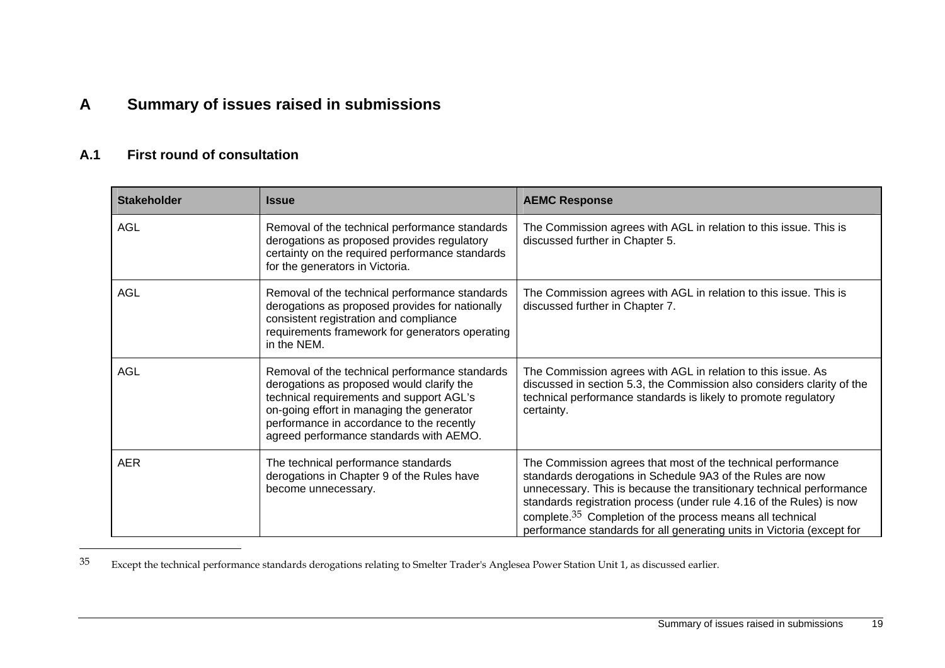## **A Summary of issues raised in submissions**

#### **A.1 First round of consultation**

| <b>Stakeholder</b> | <b>Issue</b>                                                                                                                                                                                                                                                                 | <b>AEMC Response</b>                                                                                                                                                                                                                                                                                                                                                                                                          |
|--------------------|------------------------------------------------------------------------------------------------------------------------------------------------------------------------------------------------------------------------------------------------------------------------------|-------------------------------------------------------------------------------------------------------------------------------------------------------------------------------------------------------------------------------------------------------------------------------------------------------------------------------------------------------------------------------------------------------------------------------|
| <b>AGL</b>         | Removal of the technical performance standards<br>derogations as proposed provides regulatory<br>certainty on the required performance standards<br>for the generators in Victoria.                                                                                          | The Commission agrees with AGL in relation to this issue. This is<br>discussed further in Chapter 5.                                                                                                                                                                                                                                                                                                                          |
| <b>AGL</b>         | Removal of the technical performance standards<br>derogations as proposed provides for nationally<br>consistent registration and compliance<br>requirements framework for generators operating<br>in the NEM.                                                                | The Commission agrees with AGL in relation to this issue. This is<br>discussed further in Chapter 7.                                                                                                                                                                                                                                                                                                                          |
| <b>AGL</b>         | Removal of the technical performance standards<br>derogations as proposed would clarify the<br>technical requirements and support AGL's<br>on-going effort in managing the generator<br>performance in accordance to the recently<br>agreed performance standards with AEMO. | The Commission agrees with AGL in relation to this issue. As<br>discussed in section 5.3, the Commission also considers clarity of the<br>technical performance standards is likely to promote regulatory<br>certainty.                                                                                                                                                                                                       |
| <b>AER</b>         | The technical performance standards<br>derogations in Chapter 9 of the Rules have<br>become unnecessary.                                                                                                                                                                     | The Commission agrees that most of the technical performance<br>standards derogations in Schedule 9A3 of the Rules are now<br>unnecessary. This is because the transitionary technical performance<br>standards registration process (under rule 4.16 of the Rules) is now<br>complete. <sup>35</sup> Completion of the process means all technical<br>performance standards for all generating units in Victoria (except for |

35 Except the technical performance standards derogations relating to Smelter Trader's Anglesea Power Station Unit 1, as discussed earlier.